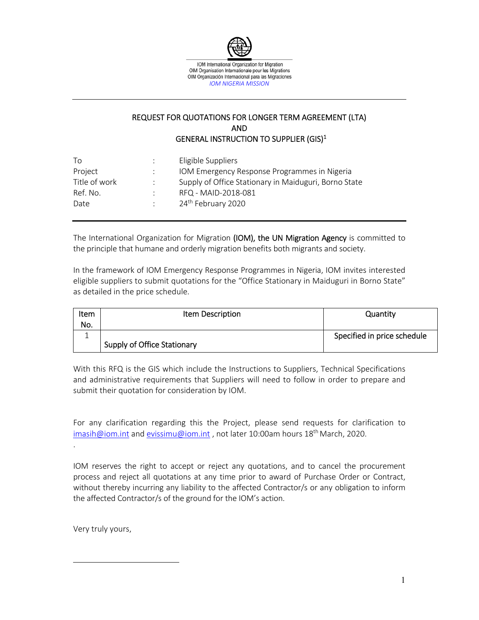

# REQUEST FOR QUOTATIONS FOR LONGER TERM AGREEMENT (LTA) AND GENERAL INSTRUCTION TO SUPPLIER (GIS)1

| Supply of Office Stationary in Maiduguri, Borno State |
|-------------------------------------------------------|

The International Organization for Migration (IOM), the UN Migration Agency is committed to the principle that humane and orderly migration benefits both migrants and society.

In the framework of IOM Emergency Response Programmes in Nigeria, IOM invites interested eligible suppliers to submit quotations for the "Office Stationary in Maiduguri in Borno State" as detailed in the price schedule.

| Item | Item Description            | Quantity                    |
|------|-----------------------------|-----------------------------|
| No.  |                             |                             |
|      |                             | Specified in price schedule |
|      | Supply of Office Stationary |                             |

With this RFQ is the GIS which include the Instructions to Suppliers, Technical Specifications and administrative requirements that Suppliers will need to follow in order to prepare and submit their quotation for consideration by IOM.

For any clarification regarding this the Project, please send requests for clarification to imasih@iom.int and evissimu@iom.int, not later 10:00am hours 18<sup>th</sup> March, 2020.

IOM reserves the right to accept or reject any quotations, and to cancel the procurement process and reject all quotations at any time prior to award of Purchase Order or Contract, without thereby incurring any liability to the affected Contractor/s or any obligation to inform the affected Contractor/s of the ground for the IOM's action.

Very truly yours,

.

 $\overline{a}$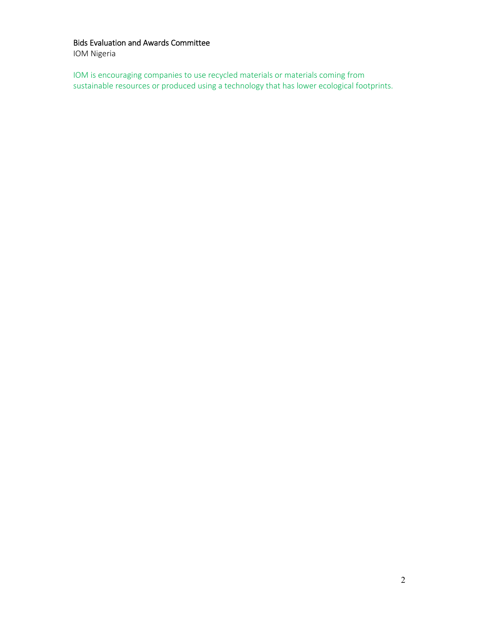# Bids Evaluation and Awards Committee

IOM Nigeria

IOM is encouraging companies to use recycled materials or materials coming from sustainable resources or produced using a technology that has lower ecological footprints.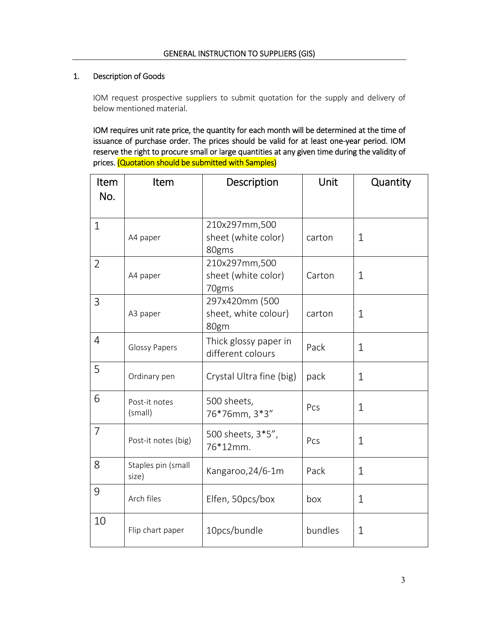### 1. Description of Goods

IOM request prospective suppliers to submit quotation for the supply and delivery of below mentioned material.

IOM requires unit rate price, the quantity for each month will be determined at the time of issuance of purchase order. The prices should be valid for at least one‐year period. IOM reserve the right to procure small or large quantities at any given time during the validity of prices. (Quotation should be submitted with Samples)

| Item           | Item                        | Description                                    | Unit    | Quantity     |
|----------------|-----------------------------|------------------------------------------------|---------|--------------|
| No.            |                             |                                                |         |              |
| $\mathbf{1}$   | A4 paper                    | 210x297mm,500<br>sheet (white color)<br>80gms  | carton  | $\mathbf{1}$ |
| $\overline{2}$ | A4 paper                    | 210x297mm,500<br>sheet (white color)<br>70gms  | Carton  | $\mathbf{1}$ |
| 3              | A3 paper                    | 297x420mm (500<br>sheet, white colour)<br>80gm | carton  | $\mathbf{1}$ |
| 4              | <b>Glossy Papers</b>        | Thick glossy paper in<br>different colours     | Pack    | $\mathbf{1}$ |
| 5              | Ordinary pen                | Crystal Ultra fine (big)                       | pack    | $\mathbf{1}$ |
| 6              | Post-it notes<br>(small)    | 500 sheets,<br>76*76mm, 3*3"                   | Pcs     | $\mathbf 1$  |
| 7              | Post-it notes (big)         | 500 sheets, 3*5",<br>76*12mm.                  | Pcs     | $\mathbf{1}$ |
| 8              | Staples pin (small<br>size) | Kangaroo, 24/6-1m                              | Pack    | 1            |
| 9              | Arch files                  | Elfen, 50pcs/box                               | box     | $\mathbf{1}$ |
| 10             | Flip chart paper            | 10pcs/bundle                                   | bundles | $\mathbf{1}$ |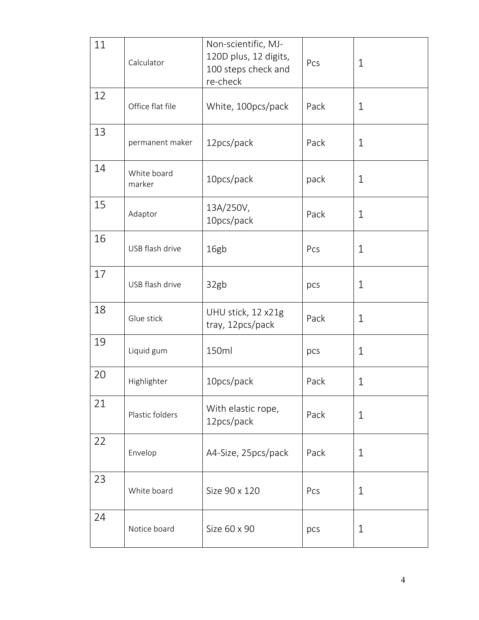| 11 | Calculator            | Non-scientific, MJ-<br>120D plus, 12 digits,<br>100 steps check and<br>re-check | Pcs  | $\mathbf 1$  |
|----|-----------------------|---------------------------------------------------------------------------------|------|--------------|
| 12 | Office flat file      | White, 100pcs/pack                                                              | Pack | $\mathbf 1$  |
| 13 | permanent maker       | 12pcs/pack                                                                      | Pack | $\mathbf 1$  |
| 14 | White board<br>marker | 10pcs/pack                                                                      | pack | $\mathbf 1$  |
| 15 | Adaptor               | 13A/250V,<br>10pcs/pack                                                         | Pack | $\mathbf 1$  |
| 16 | USB flash drive       | 16gb                                                                            | Pcs  | $\mathbf 1$  |
| 17 | USB flash drive       | 32gb                                                                            | pcs  | $\mathbf 1$  |
| 18 | Glue stick            | UHU stick, 12 x21g<br>tray, 12pcs/pack                                          | Pack | $\mathbf{1}$ |
| 19 | Liquid gum            | 150ml                                                                           | pcs  | $\mathbf 1$  |
| 20 | Highlighter           | 10pcs/pack                                                                      | Pack | $\mathbf 1$  |
| 21 | Plastic folders       | With elastic rope,<br>12pcs/pack                                                | Pack | $\mathbf 1$  |
| 22 | Envelop               | A4-Size, 25pcs/pack                                                             | Pack | $\mathbf 1$  |
| 23 | White board           | Size 90 x 120                                                                   | Pcs  | $\mathbf 1$  |
| 24 | Notice board          | Size 60 x 90                                                                    | pcs  | $\mathbf 1$  |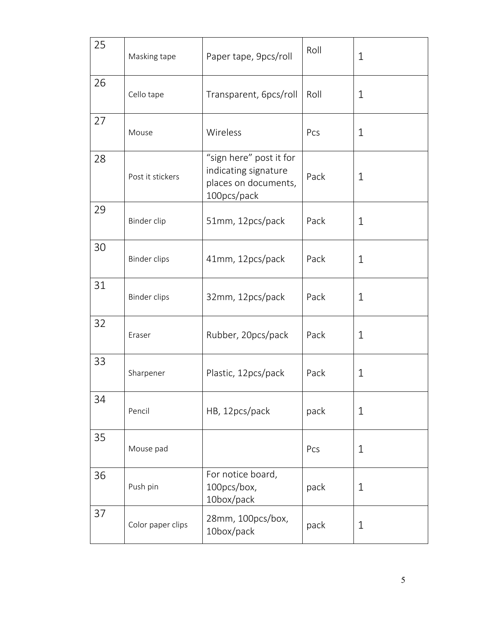| 25 | Masking tape        | Paper tape, 9pcs/roll                                                                  | Roll | $\mathbf 1$  |
|----|---------------------|----------------------------------------------------------------------------------------|------|--------------|
| 26 | Cello tape          | Transparent, 6pcs/roll                                                                 | Roll | $\mathbf 1$  |
| 27 | Mouse               | Wireless                                                                               | Pcs  | $\mathbf 1$  |
| 28 | Post it stickers    | "sign here" post it for<br>indicating signature<br>places on documents,<br>100pcs/pack | Pack | $\mathbf 1$  |
| 29 | Binder clip         | 51mm, 12pcs/pack                                                                       | Pack | $\mathbf 1$  |
| 30 | <b>Binder clips</b> | 41mm, 12pcs/pack                                                                       | Pack | $\mathbf 1$  |
| 31 | <b>Binder clips</b> | 32mm, 12pcs/pack                                                                       | Pack | $\mathbf{1}$ |
| 32 | Eraser              | Rubber, 20pcs/pack                                                                     | Pack | $\mathbf 1$  |
| 33 | Sharpener           | Plastic, 12pcs/pack                                                                    | Pack | $\mathbf 1$  |
| 34 | Pencil              | HB, 12pcs/pack                                                                         | pack | $\mathbf 1$  |
| 35 | Mouse pad           |                                                                                        | Pcs  | $\mathbf 1$  |
| 36 | Push pin            | For notice board,<br>100pcs/box,<br>10box/pack                                         | pack | $\mathbf 1$  |
| 37 | Color paper clips   | 28mm, 100pcs/box,<br>10box/pack                                                        | pack | $\mathbf 1$  |
|    |                     |                                                                                        |      |              |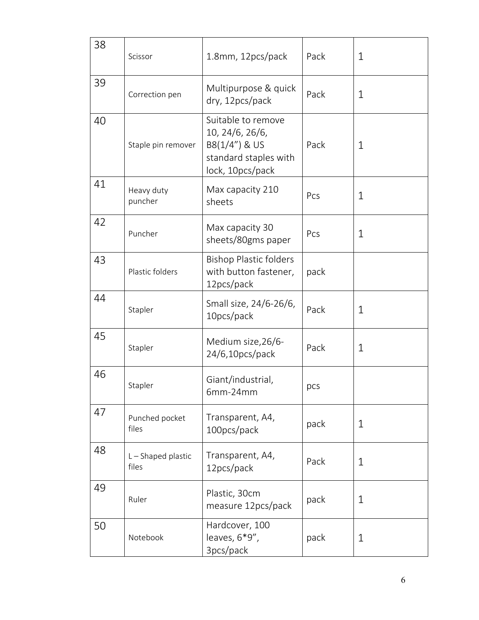| 38 | Scissor                   | 1.8mm, 12pcs/pack                                                                                   | Pack | $\mathbf 1$ |
|----|---------------------------|-----------------------------------------------------------------------------------------------------|------|-------------|
| 39 | Correction pen            | Multipurpose & quick<br>dry, 12pcs/pack                                                             | Pack | $\mathbf 1$ |
| 40 | Staple pin remover        | Suitable to remove<br>10, 24/6, 26/6,<br>B8(1/4") & US<br>standard staples with<br>lock, 10pcs/pack | Pack | $\mathbf 1$ |
| 41 | Heavy duty<br>puncher     | Max capacity 210<br>sheets                                                                          | Pcs  | $\mathbf 1$ |
| 42 | Puncher                   | Max capacity 30<br>sheets/80gms paper                                                               | Pcs  | $\mathbf 1$ |
| 43 | Plastic folders           | <b>Bishop Plastic folders</b><br>with button fastener,<br>12pcs/pack                                | pack |             |
| 44 | Stapler                   | Small size, 24/6-26/6,<br>10pcs/pack                                                                | Pack | $\mathbf 1$ |
| 45 | Stapler                   | Medium size, 26/6-<br>24/6,10pcs/pack                                                               | Pack | $\mathbf 1$ |
| 46 | Stapler                   | Giant/industrial,<br>$6mm-24mm$                                                                     | pcs  |             |
| 47 | Punched pocket<br>files   | Transparent, A4,<br>100pcs/pack                                                                     | pack | $\mathbf 1$ |
| 48 | L-Shaped plastic<br>files | Transparent, A4,<br>12pcs/pack                                                                      | Pack | $\mathbf 1$ |
| 49 | Ruler                     | Plastic, 30cm<br>measure 12pcs/pack                                                                 | pack | $\mathbf 1$ |
| 50 | Notebook                  | Hardcover, 100<br>leaves, $6*9"$ ,<br>3pcs/pack                                                     | pack | $\mathbf 1$ |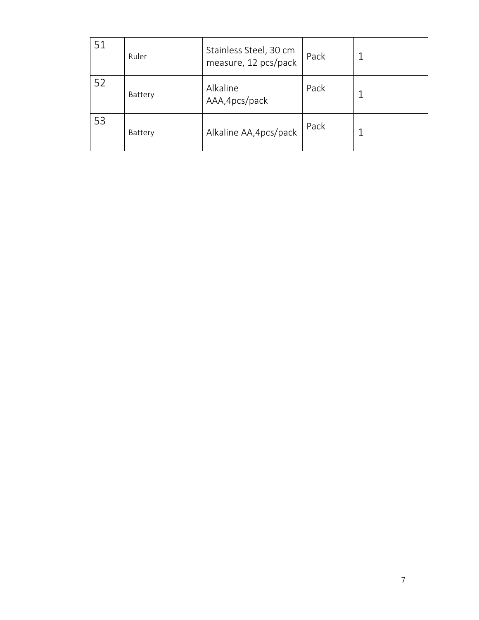| 51 | Ruler   | Stainless Steel, 30 cm<br>measure, 12 pcs/pack | Pack |  |
|----|---------|------------------------------------------------|------|--|
| 52 | Battery | Alkaline<br>AAA, 4pcs/pack                     | Pack |  |
| 53 | Battery | Alkaline AA, 4pcs/pack                         | Pack |  |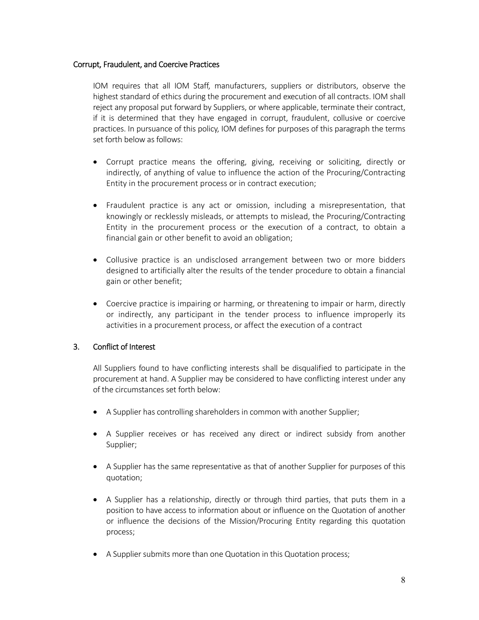### Corrupt, Fraudulent, and Coercive Practices

IOM requires that all IOM Staff, manufacturers, suppliers or distributors, observe the highest standard of ethics during the procurement and execution of all contracts. IOM shall reject any proposal put forward by Suppliers, or where applicable, terminate their contract, if it is determined that they have engaged in corrupt, fraudulent, collusive or coercive practices. In pursuance of this policy, IOM defines for purposes of this paragraph the terms set forth below as follows:

- Corrupt practice means the offering, giving, receiving or soliciting, directly or indirectly, of anything of value to influence the action of the Procuring/Contracting Entity in the procurement process or in contract execution;
- Fraudulent practice is any act or omission, including a misrepresentation, that knowingly or recklessly misleads, or attempts to mislead, the Procuring/Contracting Entity in the procurement process or the execution of a contract, to obtain a financial gain or other benefit to avoid an obligation;
- Collusive practice is an undisclosed arrangement between two or more bidders designed to artificially alter the results of the tender procedure to obtain a financial gain or other benefit;
- Coercive practice is impairing or harming, or threatening to impair or harm, directly or indirectly, any participant in the tender process to influence improperly its activities in a procurement process, or affect the execution of a contract

### 3. Conflict of Interest

All Suppliers found to have conflicting interests shall be disqualified to participate in the procurement at hand. A Supplier may be considered to have conflicting interest under any of the circumstances set forth below:

- A Supplier has controlling shareholders in common with another Supplier;
- A Supplier receives or has received any direct or indirect subsidy from another Supplier;
- A Supplier has the same representative as that of another Supplier for purposes of this quotation;
- A Supplier has a relationship, directly or through third parties, that puts them in a position to have access to information about or influence on the Quotation of another or influence the decisions of the Mission/Procuring Entity regarding this quotation process;
- A Supplier submits more than one Quotation in this Quotation process;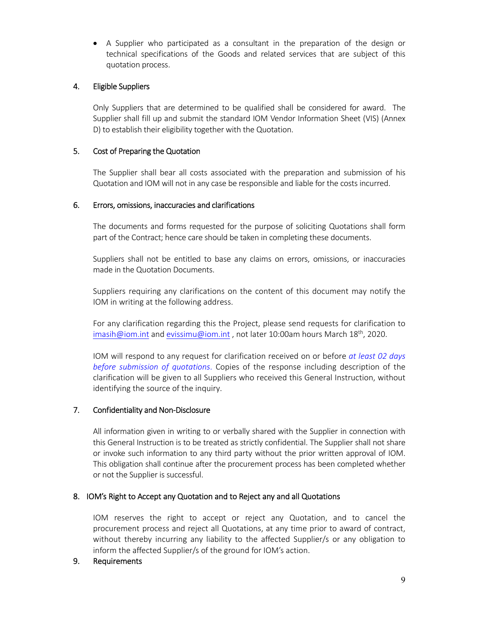A Supplier who participated as a consultant in the preparation of the design or technical specifications of the Goods and related services that are subject of this quotation process.

## 4. Eligible Suppliers

Only Suppliers that are determined to be qualified shall be considered for award. The Supplier shall fill up and submit the standard IOM Vendor Information Sheet (VIS) (Annex D) to establish their eligibility together with the Quotation.

# 5. Cost of Preparing the Quotation

The Supplier shall bear all costs associated with the preparation and submission of his Quotation and IOM will not in any case be responsible and liable for the costs incurred.

### 6. Errors, omissions, inaccuracies and clarifications

The documents and forms requested for the purpose of soliciting Quotations shall form part of the Contract; hence care should be taken in completing these documents.

Suppliers shall not be entitled to base any claims on errors, omissions, or inaccuracies made in the Quotation Documents.

Suppliers requiring any clarifications on the content of this document may notify the IOM in writing at the following address.

For any clarification regarding this the Project, please send requests for clarification to imasih@iom.int and evissimu@iom.int, not later 10:00am hours March 18<sup>th</sup>, 2020.

IOM will respond to any request for clarification received on or before *at least 02 days before submission of quotations*. Copies of the response including description of the clarification will be given to all Suppliers who received this General Instruction, without identifying the source of the inquiry.

### 7. Confidentiality and Non‐Disclosure

All information given in writing to or verbally shared with the Supplier in connection with this General Instruction is to be treated as strictly confidential. The Supplier shall not share or invoke such information to any third party without the prior written approval of IOM. This obligation shall continue after the procurement process has been completed whether or not the Supplier is successful.

### 8. IOM's Right to Accept any Quotation and to Reject any and all Quotations

 IOM reserves the right to accept or reject any Quotation, and to cancel the procurement process and reject all Quotations, at any time prior to award of contract, without thereby incurring any liability to the affected Supplier/s or any obligation to inform the affected Supplier/s of the ground for IOM's action.

### 9. Requirements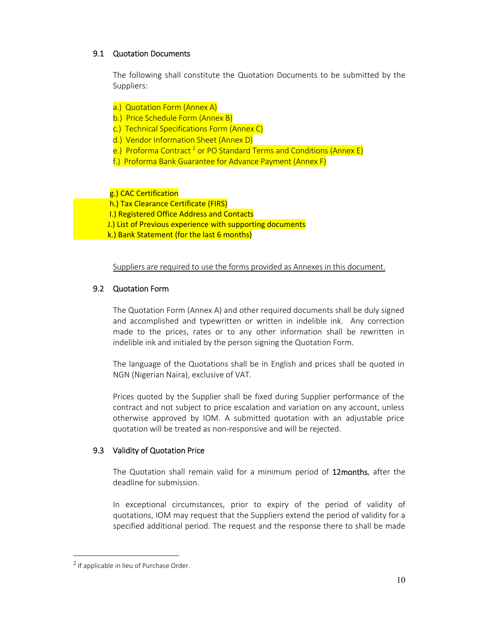# 9.1 Quotation Documents

The following shall constitute the Quotation Documents to be submitted by the Suppliers:

- a.) Quotation Form (Annex A)
- b.) Price Schedule Form (Annex B)
- c.) Technical Specifications Form (Annex C)
- d.) Vendor Information Sheet (Annex D)
- e.) Proforma Contract<sup>2</sup> or PO Standard Terms and Conditions (Annex E)
- f.) Proforma Bank Guarantee for Advance Payment (Annex F)

### g.) CAC Certification

- h.) Tax Clearance Certificate (FIRS)
- I.) Registered Office Address and Contacts
- J.) List of Previous experience with supporting documents
- k.) Bank Statement (for the last 6 months)

Suppliers are required to use the forms provided as Annexes in this document.

# 9.2 Quotation Form

The Quotation Form (Annex A) and other required documents shall be duly signed and accomplished and typewritten or written in indelible ink. Any correction made to the prices, rates or to any other information shall be rewritten in indelible ink and initialed by the person signing the Quotation Form.

The language of the Quotations shall be in English and prices shall be quoted in NGN (Nigerian Naira), exclusive of VAT.

Prices quoted by the Supplier shall be fixed during Supplier performance of the contract and not subject to price escalation and variation on any account, unless otherwise approved by IOM. A submitted quotation with an adjustable price quotation will be treated as non‐responsive and will be rejected.

### 9.3 Validity of Quotation Price

The Quotation shall remain valid for a minimum period of 12months, after the deadline for submission.

In exceptional circumstances, prior to expiry of the period of validity of quotations, IOM may request that the Suppliers extend the period of validity for a specified additional period. The request and the response there to shall be made

 $\overline{a}$ 

<sup>&</sup>lt;sup>2</sup> If applicable in lieu of Purchase Order.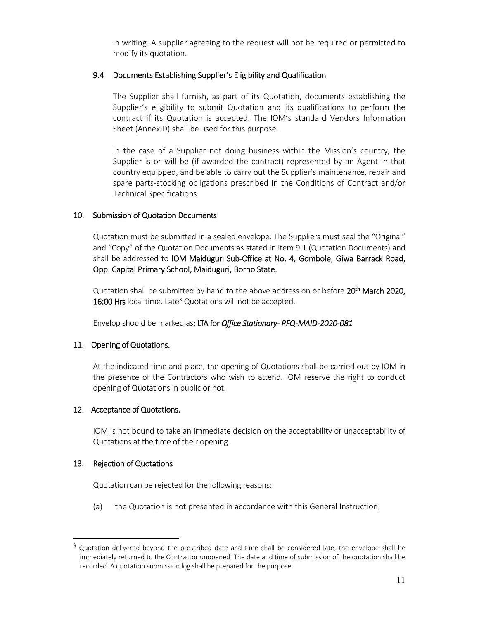in writing. A supplier agreeing to the request will not be required or permitted to modify its quotation.

## 9.4 Documents Establishing Supplier's Eligibility and Qualification

The Supplier shall furnish, as part of its Quotation, documents establishing the Supplier's eligibility to submit Quotation and its qualifications to perform the contract if its Quotation is accepted. The IOM's standard Vendors Information Sheet (Annex D) shall be used for this purpose.

In the case of a Supplier not doing business within the Mission's country, the Supplier is or will be (if awarded the contract) represented by an Agent in that country equipped, and be able to carry out the Supplier's maintenance, repair and spare parts-stocking obligations prescribed in the Conditions of Contract and/or Technical Specifications*.*

# 10. Submission of Quotation Documents

Quotation must be submitted in a sealed envelope. The Suppliers must seal the "Original" and "Copy" of the Quotation Documents as stated in item 9.1 (Quotation Documents) and shall be addressed to IOM Maiduguri Sub-Office at No. 4, Gombole, Giwa Barrack Road, Opp. Capital Primary School, Maiduguri, Borno State.

Quotation shall be submitted by hand to the above address on or before  $20^{th}$  March 2020, 16:00 Hrs local time. Late<sup>3</sup> Quotations will not be accepted.

Envelop should be marked as: LTA for *Office Stationary‐ RFQ‐MAID‐2020‐081* 

# 11. Opening of Quotations.

At the indicated time and place, the opening of Quotations shall be carried out by IOM in the presence of the Contractors who wish to attend. IOM reserve the right to conduct opening of Quotations in public or not.

### 12. Acceptance of Quotations.

IOM is not bound to take an immediate decision on the acceptability or unacceptability of Quotations at the time of their opening.

### 13. Rejection of Quotations

 $\overline{a}$ 

Quotation can be rejected for the following reasons:

(a) the Quotation is not presented in accordance with this General Instruction;

 $3$  Quotation delivered beyond the prescribed date and time shall be considered late, the envelope shall be immediately returned to the Contractor unopened. The date and time of submission of the quotation shall be recorded. A quotation submission log shall be prepared for the purpose.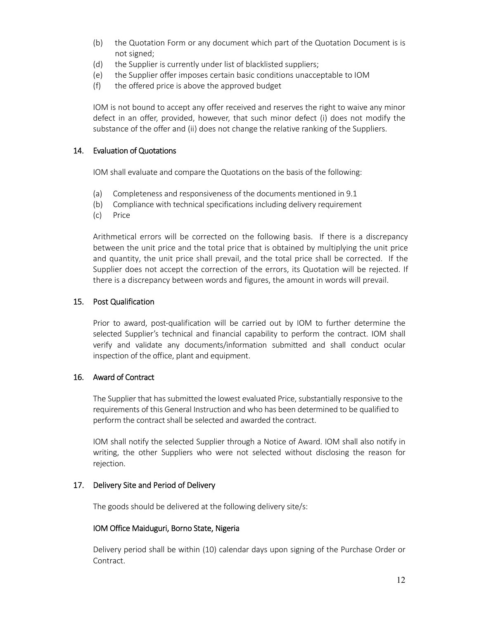- (b) the Quotation Form or any document which part of the Quotation Document is is not signed;
- (d) the Supplier is currently under list of blacklisted suppliers;
- (e) the Supplier offer imposes certain basic conditions unacceptable to IOM
- (f) the offered price is above the approved budget

IOM is not bound to accept any offer received and reserves the right to waive any minor defect in an offer, provided, however, that such minor defect (i) does not modify the substance of the offer and (ii) does not change the relative ranking of the Suppliers.

### 14. Evaluation of Quotations

IOM shall evaluate and compare the Quotations on the basis of the following:

- (a) Completeness and responsiveness of the documents mentioned in 9.1
- (b) Compliance with technical specifications including delivery requirement
- (c) Price

Arithmetical errors will be corrected on the following basis. If there is a discrepancy between the unit price and the total price that is obtained by multiplying the unit price and quantity, the unit price shall prevail, and the total price shall be corrected. If the Supplier does not accept the correction of the errors, its Quotation will be rejected. If there is a discrepancy between words and figures, the amount in words will prevail.

### 15. Post Qualification

Prior to award, post-qualification will be carried out by IOM to further determine the selected Supplier's technical and financial capability to perform the contract. IOM shall verify and validate any documents/information submitted and shall conduct ocular inspection of the office, plant and equipment.

#### 16. Award of Contract

The Supplier that has submitted the lowest evaluated Price, substantially responsive to the requirements of this General Instruction and who has been determined to be qualified to perform the contract shall be selected and awarded the contract.

IOM shall notify the selected Supplier through a Notice of Award. IOM shall also notify in writing, the other Suppliers who were not selected without disclosing the reason for rejection.

#### 17. Delivery Site and Period of Delivery

The goods should be delivered at the following delivery site/s:

#### IOM Office Maiduguri, Borno State, Nigeria

Delivery period shall be within (10) calendar days upon signing of the Purchase Order or Contract.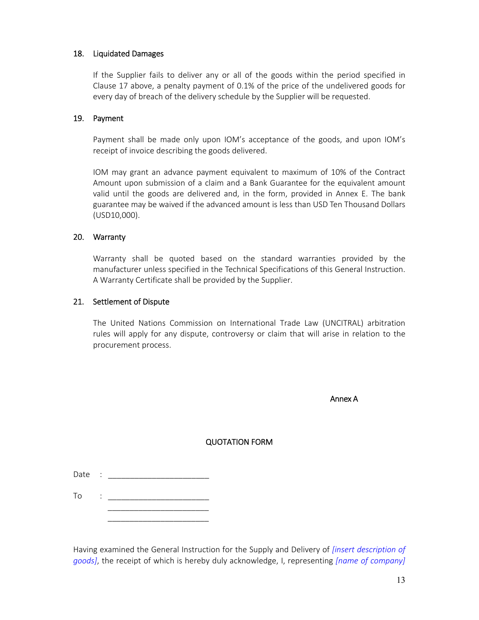### 18. Liquidated Damages

If the Supplier fails to deliver any or all of the goods within the period specified in Clause 17 above, a penalty payment of 0.1% of the price of the undelivered goods for every day of breach of the delivery schedule by the Supplier will be requested.

### 19. Payment

Payment shall be made only upon IOM's acceptance of the goods, and upon IOM's receipt of invoice describing the goods delivered.

IOM may grant an advance payment equivalent to maximum of 10% of the Contract Amount upon submission of a claim and a Bank Guarantee for the equivalent amount valid until the goods are delivered and, in the form, provided in Annex E. The bank guarantee may be waived if the advanced amount is less than USD Ten Thousand Dollars (USD10,000).

### 20. Warranty

Warranty shall be quoted based on the standard warranties provided by the manufacturer unless specified in the Technical Specifications of this General Instruction. A Warranty Certificate shall be provided by the Supplier.

### 21. Settlement of Dispute

The United Nations Commission on International Trade Law (UNCITRAL) arbitration rules will apply for any dispute, controversy or claim that will arise in relation to the procurement process.

Annex A

### QUOTATION FORM

 $\mathsf{To}$  :  $\blacksquare$  $\frac{1}{\sqrt{2}}$  ,  $\frac{1}{\sqrt{2}}$  ,  $\frac{1}{\sqrt{2}}$  ,  $\frac{1}{\sqrt{2}}$  ,  $\frac{1}{\sqrt{2}}$  ,  $\frac{1}{\sqrt{2}}$  ,  $\frac{1}{\sqrt{2}}$  ,  $\frac{1}{\sqrt{2}}$  ,  $\frac{1}{\sqrt{2}}$  ,  $\frac{1}{\sqrt{2}}$  ,  $\frac{1}{\sqrt{2}}$  ,  $\frac{1}{\sqrt{2}}$  ,  $\frac{1}{\sqrt{2}}$  ,  $\frac{1}{\sqrt{2}}$  ,  $\frac{1}{\sqrt{2}}$ 

 $\frac{1}{\sqrt{2}}$  ,  $\frac{1}{\sqrt{2}}$  ,  $\frac{1}{\sqrt{2}}$  ,  $\frac{1}{\sqrt{2}}$  ,  $\frac{1}{\sqrt{2}}$  ,  $\frac{1}{\sqrt{2}}$  ,  $\frac{1}{\sqrt{2}}$  ,  $\frac{1}{\sqrt{2}}$  ,  $\frac{1}{\sqrt{2}}$  ,  $\frac{1}{\sqrt{2}}$  ,  $\frac{1}{\sqrt{2}}$  ,  $\frac{1}{\sqrt{2}}$  ,  $\frac{1}{\sqrt{2}}$  ,  $\frac{1}{\sqrt{2}}$  ,  $\frac{1}{\sqrt{2}}$ 

Having examined the General Instruction for the Supply and Delivery of *[insert description of goods]*, the receipt of which is hereby duly acknowledge, I, representing *[name of company]*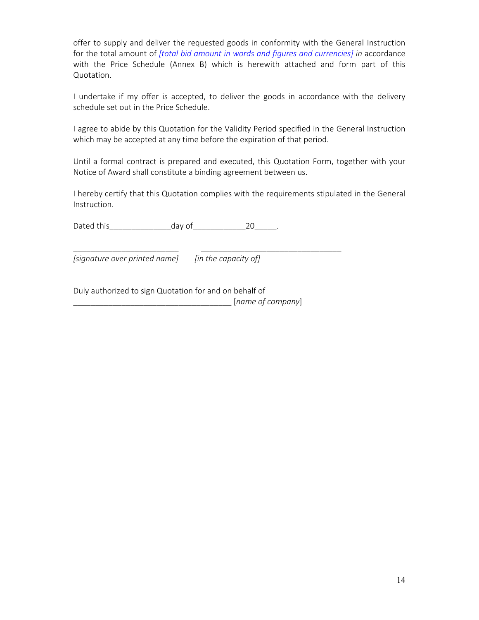offer to supply and deliver the requested goods in conformity with the General Instruction for the total amount of *[total bid amount in words and figures and currencies] in* accordance with the Price Schedule (Annex B) which is herewith attached and form part of this Quotation.

I undertake if my offer is accepted, to deliver the goods in accordance with the delivery schedule set out in the Price Schedule.

I agree to abide by this Quotation for the Validity Period specified in the General Instruction which may be accepted at any time before the expiration of that period.

Until a formal contract is prepared and executed, this Quotation Form, together with your Notice of Award shall constitute a binding agreement between us.

I hereby certify that this Quotation complies with the requirements stipulated in the General Instruction.

Dated this day of the 20 and 20 and 20 and 20 and 20 and 20 and 20 and 20 and 20

*[signature over printed name] [in the capacity of]* 

\_\_\_\_\_\_\_\_\_\_\_\_\_\_\_\_\_\_\_\_\_\_\_\_ \_\_\_\_\_\_\_\_\_\_\_\_\_\_\_\_\_\_\_\_\_\_\_\_\_\_\_\_\_\_\_\_

Duly authorized to sign Quotation for and on behalf of \_\_\_\_\_\_\_\_\_\_\_\_\_\_\_\_\_\_\_\_\_\_\_\_\_\_\_\_\_\_\_\_\_\_\_\_ [*name of company*]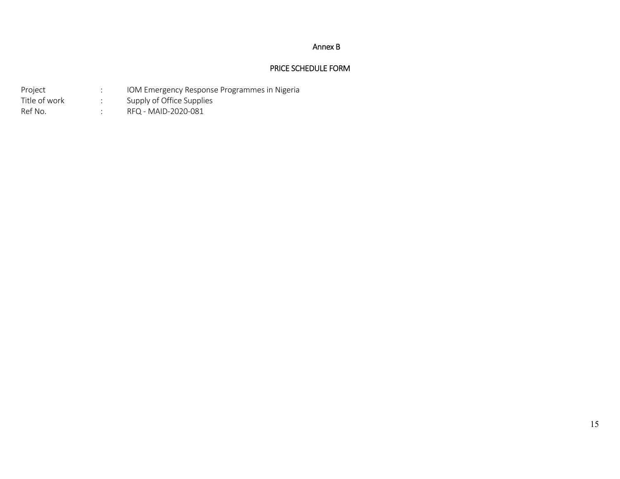#### Annex B

### PRICE SCHEDULE FORM

| Project       | IOM Emergency Response Programmes in Nigeria |
|---------------|----------------------------------------------|
| Title of work | Supply of Office Supplies                    |
| Ref No.       | RFQ - MAID-2020-081                          |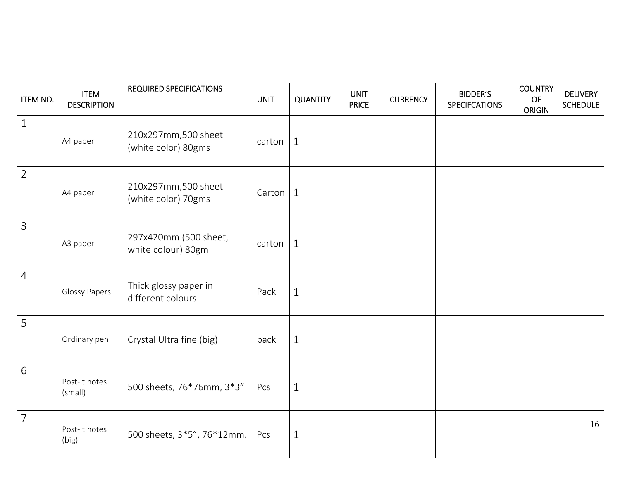| <b>ITEM NO.</b> | <b>ITEM</b><br><b>DESCRIPTION</b> | <b>REQUIRED SPECIFICATIONS</b>              | <b>UNIT</b> | <b>QUANTITY</b> | <b>UNIT</b><br><b>PRICE</b> | <b>CURRENCY</b> | <b>BIDDER'S</b><br><b>SPECIFCATIONS</b> | <b>COUNTRY</b><br><b>OF</b><br><b>ORIGIN</b> | <b>DELIVERY</b><br><b>SCHEDULE</b> |
|-----------------|-----------------------------------|---------------------------------------------|-------------|-----------------|-----------------------------|-----------------|-----------------------------------------|----------------------------------------------|------------------------------------|
| $1\,$           | A4 paper                          | 210x297mm,500 sheet<br>(white color) 80gms  | carton      | $\mathbf{1}$    |                             |                 |                                         |                                              |                                    |
| $\overline{2}$  | A4 paper                          | 210x297mm,500 sheet<br>(white color) 70gms  | Carton      | $\mathbf{1}$    |                             |                 |                                         |                                              |                                    |
| 3               | A3 paper                          | 297x420mm (500 sheet,<br>white colour) 80gm | carton      | $\mathbf{1}$    |                             |                 |                                         |                                              |                                    |
| $\overline{4}$  | <b>Glossy Papers</b>              | Thick glossy paper in<br>different colours  | Pack        | $\mathbf{1}$    |                             |                 |                                         |                                              |                                    |
| 5               | Ordinary pen                      | Crystal Ultra fine (big)                    | pack        | $\mathbf{1}$    |                             |                 |                                         |                                              |                                    |
| $6\,$           | Post-it notes<br>(small)          | 500 sheets, 76*76mm, 3*3"                   | Pcs         | $\mathbf{1}$    |                             |                 |                                         |                                              |                                    |
| $\overline{7}$  | Post-it notes<br>(big)            | 500 sheets, 3*5", 76*12mm.                  | Pcs         | $\mathbf{1}$    |                             |                 |                                         |                                              | 16                                 |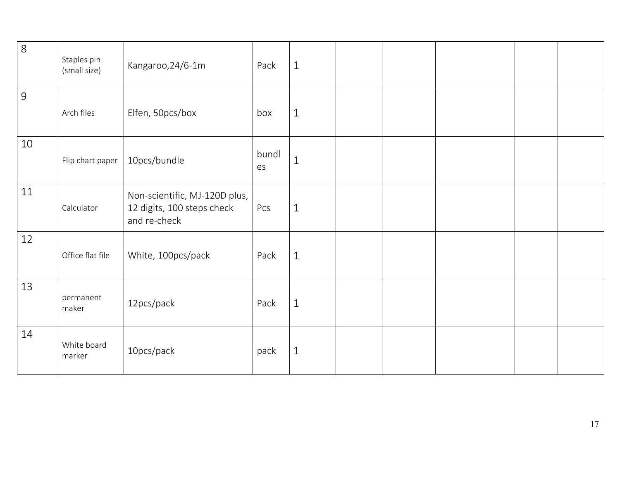| $\infty$       | Staples pin<br>(small size) | Kangaroo, 24/6-1m                                                           | Pack        | $\mathbf{1}$ |  |  |  |
|----------------|-----------------------------|-----------------------------------------------------------------------------|-------------|--------------|--|--|--|
| $\overline{9}$ | Arch files                  | Elfen, 50pcs/box                                                            | box         | $\mathbf{1}$ |  |  |  |
| 10             | Flip chart paper            | 10pcs/bundle                                                                | bundl<br>es | $\mathbf{1}$ |  |  |  |
| 11             | Calculator                  | Non-scientific, MJ-120D plus,<br>12 digits, 100 steps check<br>and re-check | Pcs         | $\mathbf{1}$ |  |  |  |
| 12             | Office flat file            | White, 100pcs/pack                                                          | Pack        | $\mathbf{1}$ |  |  |  |
| 13             | permanent<br>maker          | 12pcs/pack                                                                  | Pack        | $\mathbf{1}$ |  |  |  |
| 14             | White board<br>marker       | 10pcs/pack                                                                  | pack        | $1\,$        |  |  |  |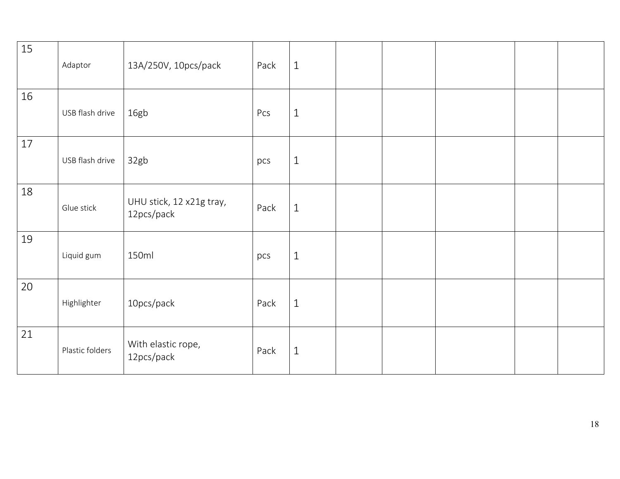| 15 | Adaptor         | 13A/250V, 10pcs/pack                   | Pack | $\mathbf{1}$ |  |  |  |
|----|-----------------|----------------------------------------|------|--------------|--|--|--|
| 16 | USB flash drive | 16gb                                   | Pcs  | $\mathbf{1}$ |  |  |  |
| 17 | USB flash drive | 32gb                                   | pcs  | $\mathbf{1}$ |  |  |  |
| 18 | Glue stick      | UHU stick, 12 x21g tray,<br>12pcs/pack | Pack | $\mathbf{1}$ |  |  |  |
| 19 | Liquid gum      | 150ml                                  | pcs  | $\mathbf{1}$ |  |  |  |
| 20 | Highlighter     | 10pcs/pack                             | Pack | $\mathbf{1}$ |  |  |  |
| 21 | Plastic folders | With elastic rope,<br>12pcs/pack       | Pack | $\mathbf{1}$ |  |  |  |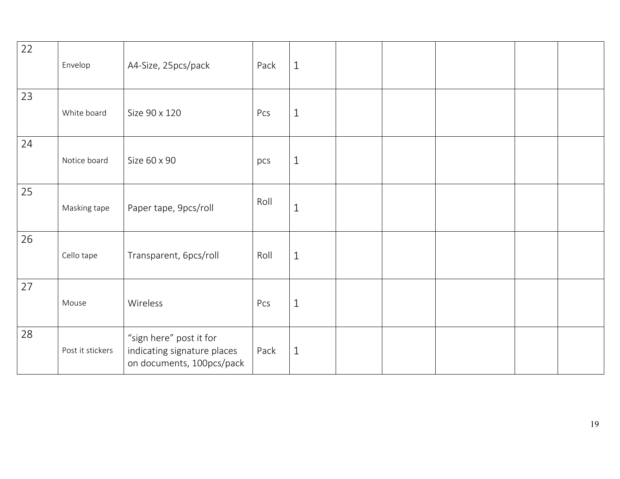| 22 | Envelop          | A4-Size, 25pcs/pack                                                                 | Pack | $\mathbf{1}$ |  |  |  |
|----|------------------|-------------------------------------------------------------------------------------|------|--------------|--|--|--|
| 23 | White board      | Size 90 x 120                                                                       | Pcs  | $\mathbf{1}$ |  |  |  |
| 24 | Notice board     | Size 60 x 90                                                                        | pcs  | $\mathbf{1}$ |  |  |  |
| 25 | Masking tape     | Paper tape, 9pcs/roll                                                               | Roll | $\mathbf{1}$ |  |  |  |
| 26 | Cello tape       | Transparent, 6pcs/roll                                                              | Roll | $\mathbf{1}$ |  |  |  |
| 27 | Mouse            | Wireless                                                                            | Pcs  | $\mathbf{1}$ |  |  |  |
| 28 | Post it stickers | "sign here" post it for<br>indicating signature places<br>on documents, 100pcs/pack | Pack | $\mathbf{1}$ |  |  |  |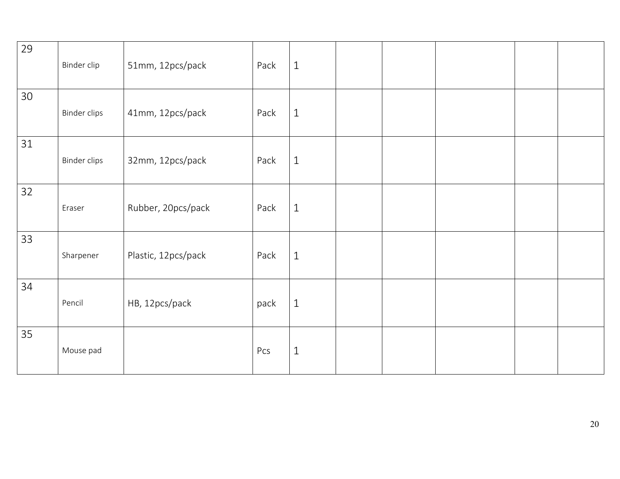| 29 | Binder clip         | 51mm, 12pcs/pack    | Pack | $1\,$        |  |  |  |
|----|---------------------|---------------------|------|--------------|--|--|--|
| 30 | <b>Binder clips</b> | 41mm, 12pcs/pack    | Pack | $\mathbf{1}$ |  |  |  |
| 31 | <b>Binder clips</b> | 32mm, 12pcs/pack    | Pack | $1\,$        |  |  |  |
| 32 | Eraser              | Rubber, 20pcs/pack  | Pack | $\mathbf{1}$ |  |  |  |
| 33 | Sharpener           | Plastic, 12pcs/pack | Pack | $1\,$        |  |  |  |
| 34 | Pencil              | HB, 12pcs/pack      | pack | $\mathbf{1}$ |  |  |  |
| 35 | Mouse pad           |                     | Pcs  | $\mathbf{1}$ |  |  |  |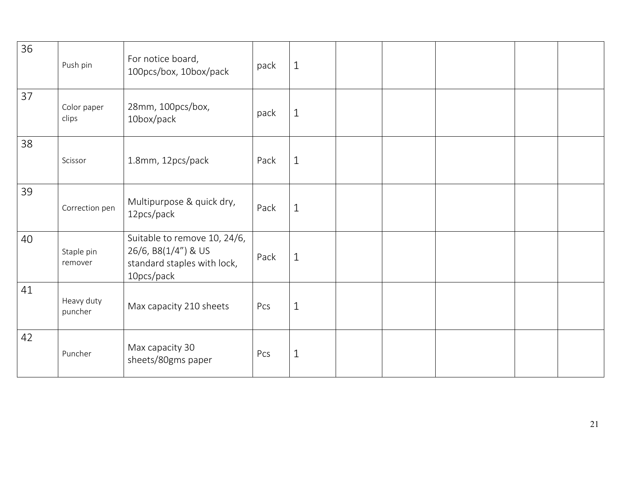| 36 | Push pin              | For notice board,<br>100pcs/box, 10box/pack                                                      | pack | $\mathbf{1}$ |  |  |  |
|----|-----------------------|--------------------------------------------------------------------------------------------------|------|--------------|--|--|--|
| 37 | Color paper<br>clips  | 28mm, 100pcs/box,<br>10box/pack                                                                  | pack | $\mathbf{1}$ |  |  |  |
| 38 | Scissor               | 1.8mm, 12pcs/pack                                                                                | Pack | $\mathbf{1}$ |  |  |  |
| 39 | Correction pen        | Multipurpose & quick dry,<br>12pcs/pack                                                          | Pack | $\mathbf{1}$ |  |  |  |
| 40 | Staple pin<br>remover | Suitable to remove 10, 24/6,<br>26/6, B8(1/4") & US<br>standard staples with lock,<br>10pcs/pack | Pack | $\mathbf{1}$ |  |  |  |
| 41 | Heavy duty<br>puncher | Max capacity 210 sheets                                                                          | Pcs  | $\mathbf{1}$ |  |  |  |
| 42 | Puncher               | Max capacity 30<br>sheets/80gms paper                                                            | Pcs  | $\mathbf{1}$ |  |  |  |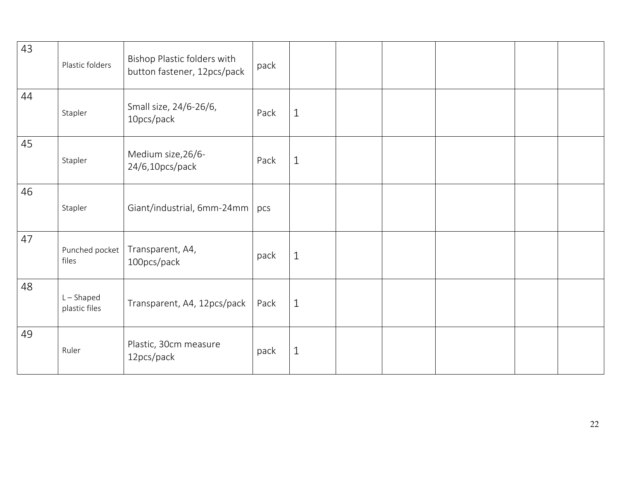| 43 | Plastic folders               | Bishop Plastic folders with<br>button fastener, 12pcs/pack | pack |              |  |  |  |
|----|-------------------------------|------------------------------------------------------------|------|--------------|--|--|--|
| 44 | Stapler                       | Small size, 24/6-26/6,<br>10pcs/pack                       | Pack | $\mathbf{1}$ |  |  |  |
| 45 | Stapler                       | Medium size, 26/6-<br>24/6,10pcs/pack                      | Pack | $\mathbf{1}$ |  |  |  |
| 46 | Stapler                       | Giant/industrial, 6mm-24mm   pcs                           |      |              |  |  |  |
| 47 | Punched pocket<br>files       | Transparent, A4,<br>100pcs/pack                            | pack | $\mathbf{1}$ |  |  |  |
| 48 | $L - Shaped$<br>plastic files | Transparent, A4, 12pcs/pack   Pack                         |      | $\mathbf{1}$ |  |  |  |
| 49 | Ruler                         | Plastic, 30cm measure<br>12pcs/pack                        | pack | $1\,$        |  |  |  |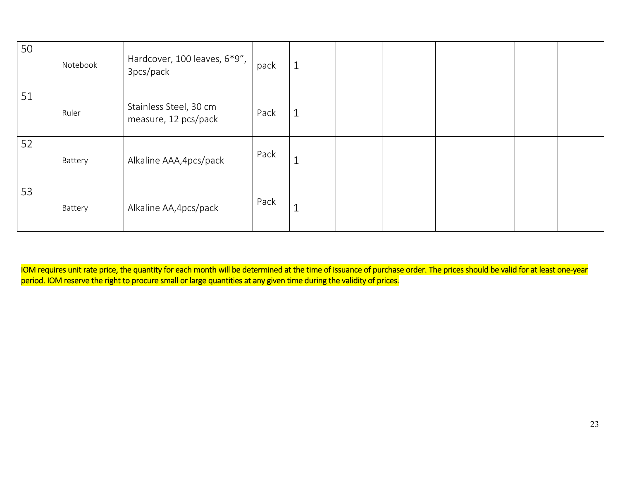| 50 | Notebook | Hardcover, 100 leaves, 6*9",<br>3pcs/pack      | pack | $\mathbf 1$ |  |  |  |
|----|----------|------------------------------------------------|------|-------------|--|--|--|
| 51 | Ruler    | Stainless Steel, 30 cm<br>measure, 12 pcs/pack | Pack |             |  |  |  |
| 52 | Battery  | Alkaline AAA, 4pcs/pack                        | Pack |             |  |  |  |
| 53 | Battery  | Alkaline AA, 4pcs/pack                         | Pack | ᆚ           |  |  |  |

IOM requires unit rate price, the quantity for each month will be determined at the time of issuance of purchase order. The prices should be valid for at least one-year period. IOM reserve the right to procure small or large quantities at any given time during the validity of prices.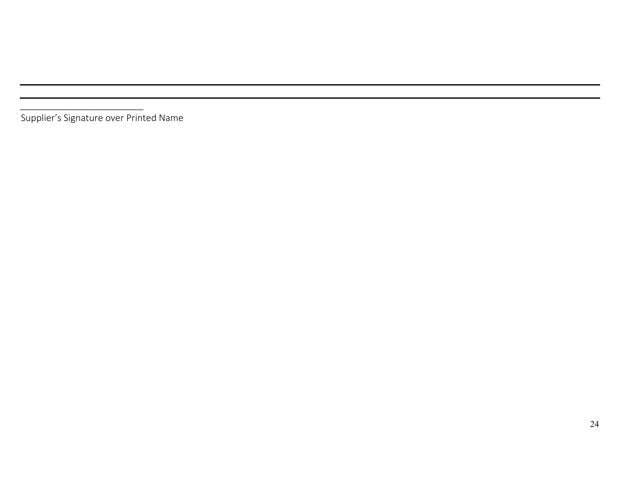*\_\_\_\_\_\_\_\_\_\_\_\_\_\_\_\_\_\_\_\_\_\_\_\_* Supplier's Signature over Printed Name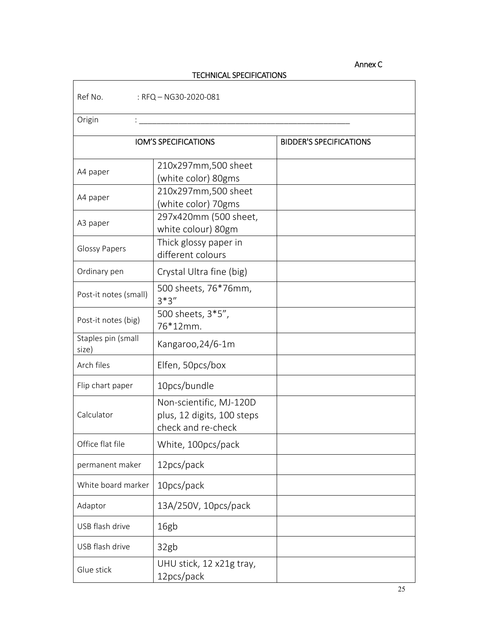# Annex C

# TECHNICAL SPECIFICATIONS

Ref No. : RFQ – NG30‐2020‐081

| Origin                                               |                                                                             |                                |
|------------------------------------------------------|-----------------------------------------------------------------------------|--------------------------------|
|                                                      | <b>IOM'S SPECIFICATIONS</b>                                                 | <b>BIDDER'S SPECIFICATIONS</b> |
| A4 paper                                             | 210x297mm,500 sheet<br>(white color) 80gms                                  |                                |
| A4 paper                                             | 210x297mm,500 sheet<br>(white color) 70gms                                  |                                |
| A3 paper                                             | 297x420mm (500 sheet,<br>white colour) 80gm                                 |                                |
| <b>Glossy Papers</b>                                 | Thick glossy paper in<br>different colours                                  |                                |
| Ordinary pen                                         | Crystal Ultra fine (big)                                                    |                                |
| Post-it notes (small)                                | 500 sheets, 76*76mm,<br>$3*3"$                                              |                                |
| 500 sheets, 3*5",<br>Post-it notes (big)<br>76*12mm. |                                                                             |                                |
| Staples pin (small<br>size)                          | Kangaroo, 24/6-1m                                                           |                                |
| Arch files                                           | Elfen, 50pcs/box                                                            |                                |
| Flip chart paper                                     | 10pcs/bundle                                                                |                                |
| Calculator                                           | Non-scientific, MJ-120D<br>plus, 12 digits, 100 steps<br>check and re-check |                                |
| Office flat file                                     | White, 100pcs/pack                                                          |                                |
| permanent maker                                      | 12 pcs/pack                                                                 |                                |
| White board marker                                   | 10pcs/pack                                                                  |                                |
| Adaptor                                              | 13A/250V, 10pcs/pack                                                        |                                |
| USB flash drive                                      | 16gb                                                                        |                                |
| USB flash drive                                      | 32gb                                                                        |                                |
| Glue stick                                           | UHU stick, 12 x21g tray,<br>12pcs/pack                                      |                                |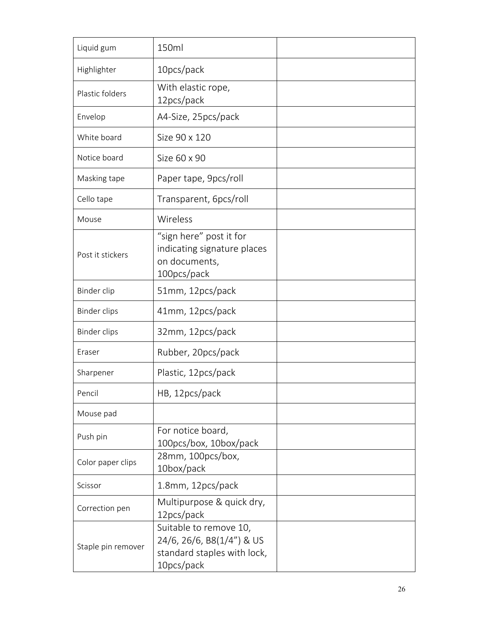| Liquid gum          | 150ml                                                                                            |  |
|---------------------|--------------------------------------------------------------------------------------------------|--|
| Highlighter         | 10pcs/pack                                                                                       |  |
| Plastic folders     | With elastic rope,<br>12pcs/pack                                                                 |  |
| Envelop             | A4-Size, 25pcs/pack                                                                              |  |
| White board         | Size 90 x 120                                                                                    |  |
| Notice board        | Size 60 x 90                                                                                     |  |
| Masking tape        | Paper tape, 9pcs/roll                                                                            |  |
| Cello tape          | Transparent, 6pcs/roll                                                                           |  |
| Mouse               | Wireless                                                                                         |  |
| Post it stickers    | "sign here" post it for<br>indicating signature places<br>on documents,<br>100pcs/pack           |  |
| Binder clip         | 51mm, 12pcs/pack                                                                                 |  |
| <b>Binder clips</b> | 41mm, 12pcs/pack                                                                                 |  |
| <b>Binder clips</b> | 32mm, 12pcs/pack                                                                                 |  |
| Eraser              | Rubber, 20pcs/pack                                                                               |  |
| Sharpener           | Plastic, 12pcs/pack                                                                              |  |
| Pencil              | HB, 12pcs/pack                                                                                   |  |
| Mouse pad           |                                                                                                  |  |
| Push pin            | For notice board,<br>100pcs/box, 10box/pack                                                      |  |
| Color paper clips   | 28mm, 100pcs/box,<br>10box/pack                                                                  |  |
| Scissor             | 1.8mm, 12pcs/pack                                                                                |  |
| Correction pen      | Multipurpose & quick dry,<br>12pcs/pack                                                          |  |
| Staple pin remover  | Suitable to remove 10,<br>24/6, 26/6, B8(1/4") & US<br>standard staples with lock,<br>10pcs/pack |  |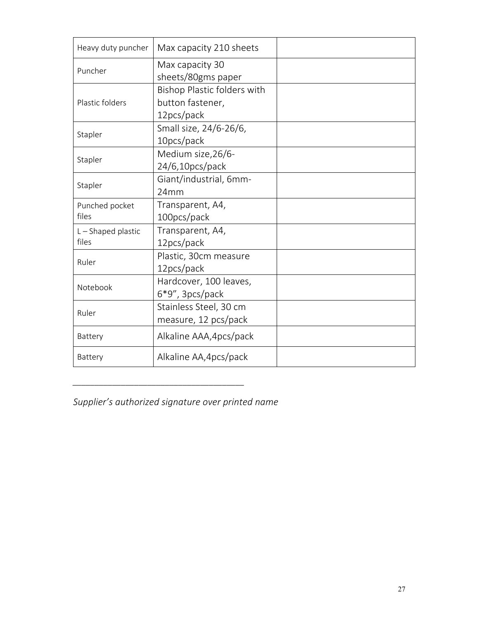| Heavy duty puncher                              | Max capacity 210 sheets                                       |  |
|-------------------------------------------------|---------------------------------------------------------------|--|
| Puncher                                         | Max capacity 30<br>sheets/80gms paper                         |  |
| Plastic folders                                 | Bishop Plastic folders with<br>button fastener,<br>12pcs/pack |  |
| Small size, 24/6-26/6,<br>Stapler<br>10pcs/pack |                                                               |  |
| Stapler                                         | Medium size, 26/6-<br>24/6,10pcs/pack                         |  |
| Stapler                                         | Giant/industrial, 6mm-<br>24mm                                |  |
| Punched pocket<br>files                         | Transparent, A4,<br>100pcs/pack                               |  |
| L-Shaped plastic<br>files                       | Transparent, A4,<br>12pcs/pack                                |  |
| Ruler                                           | Plastic, 30cm measure<br>12pcs/pack                           |  |
| Notebook                                        | Hardcover, 100 leaves,<br>$6*9"$ , 3pcs/pack                  |  |
| Ruler                                           | Stainless Steel, 30 cm<br>measure, 12 pcs/pack                |  |
| Battery                                         | Alkaline AAA, 4pcs/pack                                       |  |
| Battery                                         | Alkaline AA, 4pcs/pack                                        |  |

*Supplier's authorized signature over printed name* 

*\_\_\_\_\_\_\_\_\_\_\_\_\_\_\_\_\_\_\_\_\_\_\_\_\_\_\_\_\_\_\_\_\_\_\_\_\_\_\_*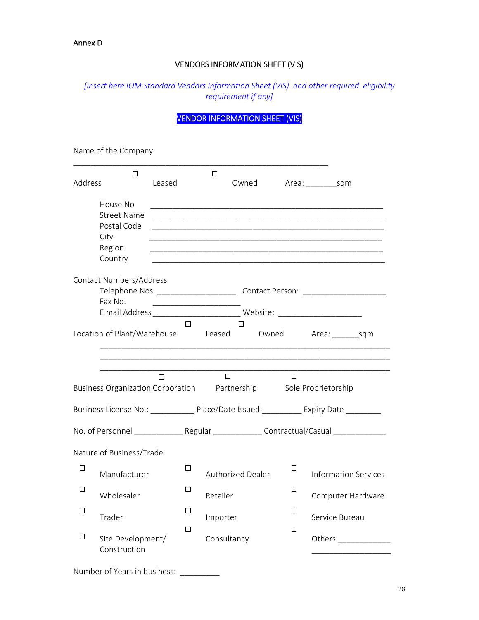## VENDORS INFORMATION SHEET (VIS)

# *[insert here IOM Standard Vendors Information Sheet (VIS) and other required eligibility requirement if any]*

# VENDOR INFORMATION SHEET (VIS)

Name of the Company

| Address | □                                                                 |                                                 |        | □        |                   |        |                                                                                                                        |
|---------|-------------------------------------------------------------------|-------------------------------------------------|--------|----------|-------------------|--------|------------------------------------------------------------------------------------------------------------------------|
|         |                                                                   | Leased                                          |        |          | Owned             |        | Area: sqm                                                                                                              |
|         | House No                                                          |                                                 |        |          |                   |        |                                                                                                                        |
|         | <b>Street Name</b>                                                |                                                 |        |          |                   |        |                                                                                                                        |
|         | Postal Code                                                       |                                                 |        |          |                   |        | <u> 1989 - Johann Stoff, amerikansk politiker (* 1908)</u>                                                             |
|         | City                                                              |                                                 |        |          |                   |        | <u> 1989 - Johann John Stone, markin sanadi amerikan bahasa dalam berasal dalam berasal dalam berasal dalam berasa</u> |
|         | Region                                                            |                                                 |        |          |                   |        |                                                                                                                        |
|         | Country                                                           |                                                 |        |          |                   |        |                                                                                                                        |
|         | Contact Numbers/Address                                           |                                                 |        |          |                   |        |                                                                                                                        |
|         |                                                                   |                                                 |        |          |                   |        | Telephone Nos. ________________________________Contact Person: __________________                                      |
|         | Fax No.                                                           | <u> 1989 - Johann John Stone, mars et al. (</u> |        |          |                   |        |                                                                                                                        |
|         |                                                                   |                                                 |        |          |                   |        |                                                                                                                        |
|         |                                                                   |                                                 | П      |          | П                 |        |                                                                                                                        |
|         | Location of Plant/Warehouse                                       |                                                 |        |          |                   |        | Leased Owned Area: sqm                                                                                                 |
|         |                                                                   |                                                 |        |          |                   |        |                                                                                                                        |
|         |                                                                   |                                                 |        |          |                   |        |                                                                                                                        |
|         |                                                                   | □                                               |        |          | $\Box$            | $\Box$ |                                                                                                                        |
|         | Business Organization Corporation Partnership Sole Proprietorship |                                                 |        |          |                   |        |                                                                                                                        |
|         |                                                                   |                                                 |        |          |                   |        | Business License No.: ______________ Place/Date Issued:____________ Expiry Date __________                             |
|         |                                                                   |                                                 |        |          |                   |        | No. of Personnel ________________Regular ________________Contractual/Casual _______________                            |
|         | Nature of Business/Trade                                          |                                                 |        |          |                   |        |                                                                                                                        |
| $\Box$  |                                                                   |                                                 | □      |          |                   | ப      |                                                                                                                        |
|         | Manufacturer                                                      |                                                 |        |          | Authorized Dealer |        | <b>Information Services</b>                                                                                            |
| □       | Wholesaler                                                        |                                                 | □      | Retailer |                   | □      | Computer Hardware                                                                                                      |
|         |                                                                   |                                                 | $\Box$ |          |                   | $\Box$ |                                                                                                                        |
| □       | Trader                                                            |                                                 |        | Importer |                   |        | Service Bureau                                                                                                         |
|         |                                                                   |                                                 | □      |          |                   | □      |                                                                                                                        |
| $\Box$  | Site Development/<br>Construction                                 |                                                 |        |          | Consultancy       |        |                                                                                                                        |
|         |                                                                   |                                                 |        |          |                   |        |                                                                                                                        |
|         | Number of Years in business:                                      |                                                 |        |          |                   |        |                                                                                                                        |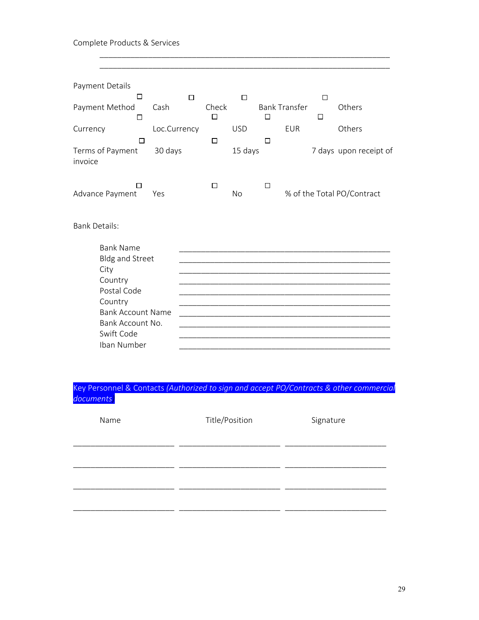# Complete Products & Services

| Payment Details                                                                                                                                                      |              |                      |            |        |                      |             |                            |
|----------------------------------------------------------------------------------------------------------------------------------------------------------------------|--------------|----------------------|------------|--------|----------------------|-------------|----------------------------|
| □<br>Payment Method<br>□                                                                                                                                             | Cash         | $\Box$<br>Check<br>□ | □          | □      | <b>Bank Transfer</b> | □<br>$\Box$ | Others                     |
| Currency<br>П                                                                                                                                                        | Loc.Currency | $\Box$               | <b>USD</b> | □      | <b>EUR</b>           |             | Others                     |
| Terms of Payment<br>invoice                                                                                                                                          | 30 days      |                      | 15 days    |        |                      |             | 7 days upon receipt of     |
| П<br>Advance Payment                                                                                                                                                 | Yes          | $\Box$               | <b>No</b>  | $\Box$ |                      |             | % of the Total PO/Contract |
| <b>Bank Details:</b>                                                                                                                                                 |              |                      |            |        |                      |             |                            |
| <b>Bank Name</b><br><b>Bldg and Street</b><br>City<br>Country<br>Postal Code<br>Country<br><b>Bank Account Name</b><br>Bank Account No.<br>Swift Code<br>Iban Number |              |                      |            |        |                      |             |                            |

# Key Personnel & Contacts *(Authorized to sign and accept PO/Contracts & other commercial documents)*

| Name | Title/Position | Signature |
|------|----------------|-----------|
|      |                |           |
|      |                |           |
|      |                |           |
|      |                |           |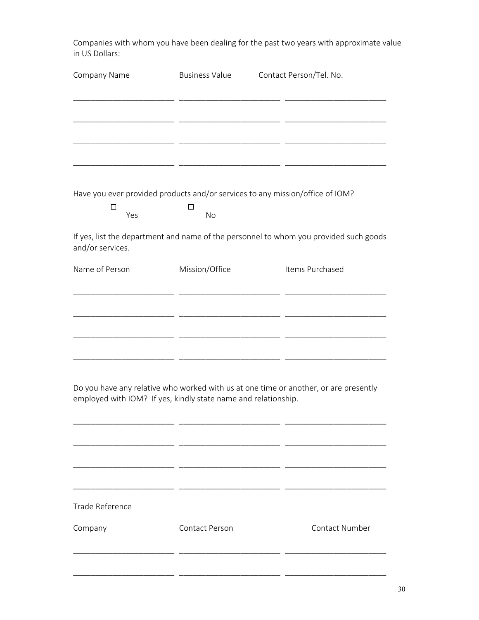Companies with whom you have been dealing for the past two years with approximate value in US Dollars:

| Company Name                                                   | <b>Business Value</b> | Contact Person/Tel. No.                                                               |
|----------------------------------------------------------------|-----------------------|---------------------------------------------------------------------------------------|
|                                                                |                       |                                                                                       |
|                                                                |                       |                                                                                       |
|                                                                |                       |                                                                                       |
|                                                                |                       |                                                                                       |
|                                                                |                       | Have you ever provided products and/or services to any mission/office of IOM?         |
| □<br>Yes                                                       | □<br>No               |                                                                                       |
| and/or services.                                               |                       | If yes, list the department and name of the personnel to whom you provided such goods |
| Name of Person                                                 | Mission/Office        | Items Purchased                                                                       |
|                                                                |                       |                                                                                       |
|                                                                |                       |                                                                                       |
|                                                                |                       |                                                                                       |
|                                                                |                       |                                                                                       |
| employed with IOM? If yes, kindly state name and relationship. |                       | Do you have any relative who worked with us at one time or another, or are presently  |
|                                                                |                       |                                                                                       |
|                                                                |                       |                                                                                       |
|                                                                |                       |                                                                                       |
| Trade Reference                                                |                       |                                                                                       |

Company **Contact Person** Contact Number \_\_\_\_\_\_\_\_\_\_\_\_\_\_\_\_\_\_\_\_\_\_\_ \_\_\_\_\_\_\_\_\_\_\_\_\_\_\_\_\_\_\_\_\_\_\_ \_\_\_\_\_\_\_\_\_\_\_\_\_\_\_\_\_\_\_\_\_\_\_ \_\_\_\_\_\_\_\_\_\_\_\_\_\_\_\_\_\_\_\_\_\_\_ \_\_\_\_\_\_\_\_\_\_\_\_\_\_\_\_\_\_\_\_\_\_\_ \_\_\_\_\_\_\_\_\_\_\_\_\_\_\_\_\_\_\_\_\_\_\_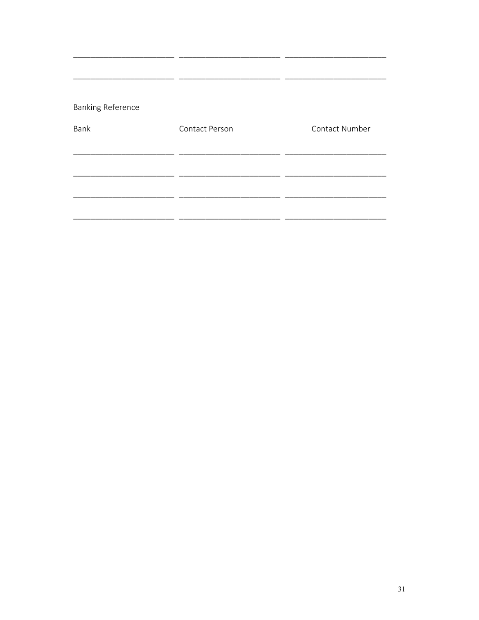# **Banking Reference**

| Bank | Contact Person | Contact Number |  |  |
|------|----------------|----------------|--|--|
|      |                |                |  |  |
|      |                |                |  |  |
|      |                |                |  |  |
|      |                |                |  |  |

 $\overline{\phantom{a}}$ 

 $\overline{a}$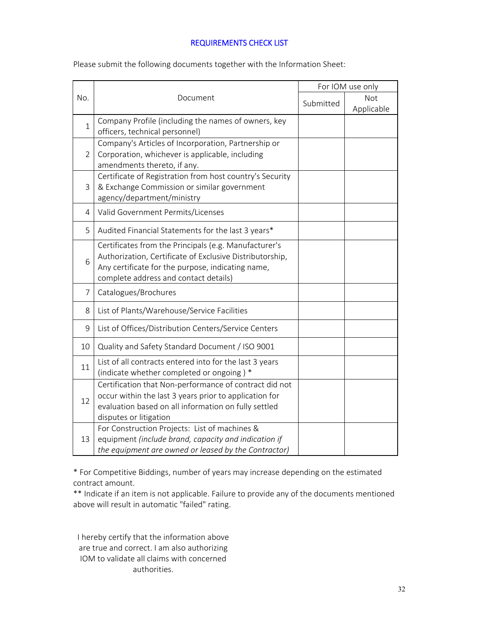### REQUIREMENTS CHECK LIST

| No.            |                                                                                                                                                                                                                 | For IOM use only |                   |  |
|----------------|-----------------------------------------------------------------------------------------------------------------------------------------------------------------------------------------------------------------|------------------|-------------------|--|
|                | Document                                                                                                                                                                                                        | Submitted        | Not<br>Applicable |  |
| $\mathbf{1}$   | Company Profile (including the names of owners, key<br>officers, technical personnel)                                                                                                                           |                  |                   |  |
| $\overline{2}$ | Company's Articles of Incorporation, Partnership or<br>Corporation, whichever is applicable, including<br>amendments thereto, if any.                                                                           |                  |                   |  |
| 3              | Certificate of Registration from host country's Security<br>& Exchange Commission or similar government<br>agency/department/ministry                                                                           |                  |                   |  |
| $\overline{4}$ | Valid Government Permits/Licenses                                                                                                                                                                               |                  |                   |  |
| 5              | Audited Financial Statements for the last 3 years*                                                                                                                                                              |                  |                   |  |
| 6              | Certificates from the Principals (e.g. Manufacturer's<br>Authorization, Certificate of Exclusive Distributorship,<br>Any certificate for the purpose, indicating name,<br>complete address and contact details) |                  |                   |  |
| $\overline{7}$ | Catalogues/Brochures                                                                                                                                                                                            |                  |                   |  |
| 8              | List of Plants/Warehouse/Service Facilities                                                                                                                                                                     |                  |                   |  |
| 9              | List of Offices/Distribution Centers/Service Centers                                                                                                                                                            |                  |                   |  |
| 10             | Quality and Safety Standard Document / ISO 9001                                                                                                                                                                 |                  |                   |  |
| 11             | List of all contracts entered into for the last 3 years<br>(indicate whether completed or ongoing) *                                                                                                            |                  |                   |  |
| 12             | Certification that Non-performance of contract did not<br>occur within the last 3 years prior to application for<br>evaluation based on all information on fully settled<br>disputes or litigation              |                  |                   |  |
| 13             | For Construction Projects: List of machines &<br>equipment (include brand, capacity and indication if<br>the equipment are owned or leased by the Contractor)                                                   |                  |                   |  |

Please submit the following documents together with the Information Sheet:

\* For Competitive Biddings, number of years may increase depending on the estimated contract amount.

\*\* Indicate if an item is not applicable. Failure to provide any of the documents mentioned above will result in automatic "failed" rating.

I hereby certify that the information above are true and correct. I am also authorizing IOM to validate all claims with concerned authorities.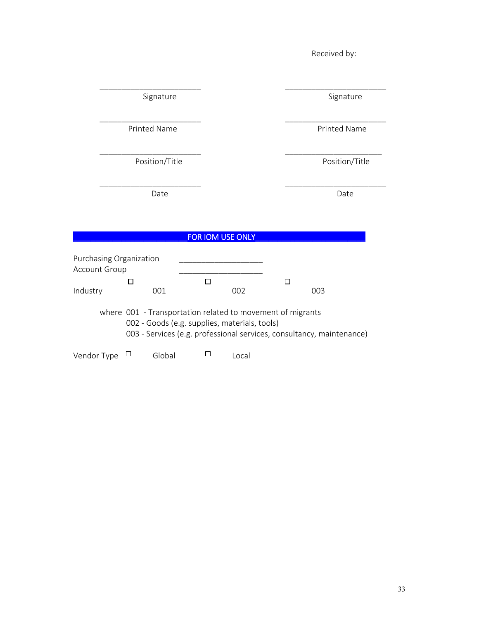|               |                                                                                                             |        |                  |        | Received by:                                                          |
|---------------|-------------------------------------------------------------------------------------------------------------|--------|------------------|--------|-----------------------------------------------------------------------|
|               |                                                                                                             |        |                  |        |                                                                       |
|               | Signature                                                                                                   |        |                  |        | Signature                                                             |
|               | Printed Name                                                                                                |        |                  |        | Printed Name                                                          |
|               | Position/Title                                                                                              |        |                  |        | Position/Title                                                        |
|               | Date                                                                                                        |        |                  |        | Date                                                                  |
|               |                                                                                                             |        | FOR IOM USE ONLY |        |                                                                       |
| Account Group | Purchasing Organization                                                                                     |        |                  |        |                                                                       |
| Industry      | $\Box$<br>001                                                                                               | $\Box$ | 002              | $\Box$ | 003                                                                   |
|               | where 001 - Transportation related to movement of migrants<br>002 - Goods (e.g. supplies, materials, tools) |        |                  |        | 003 - Services (e.g. professional services, consultancy, maintenance) |
| Vendor Type   | $\Box$<br>Global                                                                                            | □      | Local            |        |                                                                       |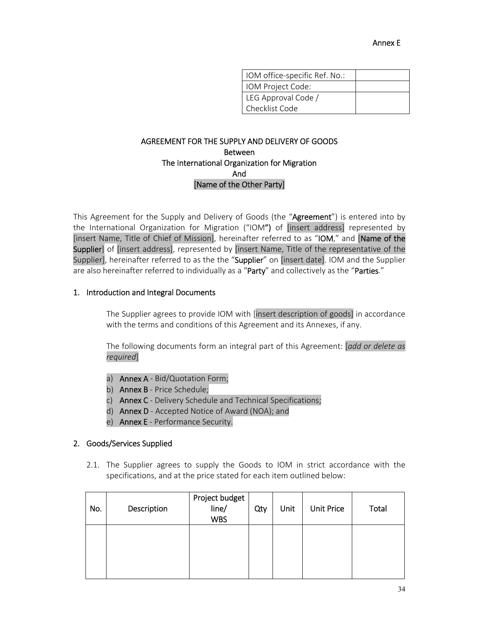| IOM office-specific Ref. No.: |  |
|-------------------------------|--|
| IOM Project Code:             |  |
| LEG Approval Code /           |  |
| Checklist Code                |  |

### AGREEMENT FOR THE SUPPLY AND DELIVERY OF GOODS Between The International Organization for Migration And [Name of the Other Party]

This Agreement for the Supply and Delivery of Goods (the "Agreement") is entered into by the International Organization for Migration ("IOM") of [insert address] represented by [insert Name, Title of Chief of Mission], hereinafter referred to as "IOM," and [Name of the Supplier] of [insert address], represented by [insert Name, Title of the representative of the Supplier], hereinafter referred to as the the "Supplier" on [insert date]. IOM and the Supplier are also hereinafter referred to individually as a "Party" and collectively as the "Parties."

### 1. Introduction and Integral Documents

The Supplier agrees to provide IOM with [insert description of goods] in accordance with the terms and conditions of this Agreement and its Annexes, if any.

The following documents form an integral part of this Agreement: [*add or delete as required*]

- a) Annex A Bid/Quotation Form;
- b) **Annex B** Price Schedule;
- c) Annex C Delivery Schedule and Technical Specifications;
- d) Annex D ‐ Accepted Notice of Award (NOA); and
- e) Annex E Performance Security.

#### 2. Goods/Services Supplied

2.1. The Supplier agrees to supply the Goods to IOM in strict accordance with the specifications, and at the price stated for each item outlined below:

| No. | Description | Project budget<br>line/<br><b>WBS</b> | Qty | Unit | <b>Unit Price</b> | Total |
|-----|-------------|---------------------------------------|-----|------|-------------------|-------|
|     |             |                                       |     |      |                   |       |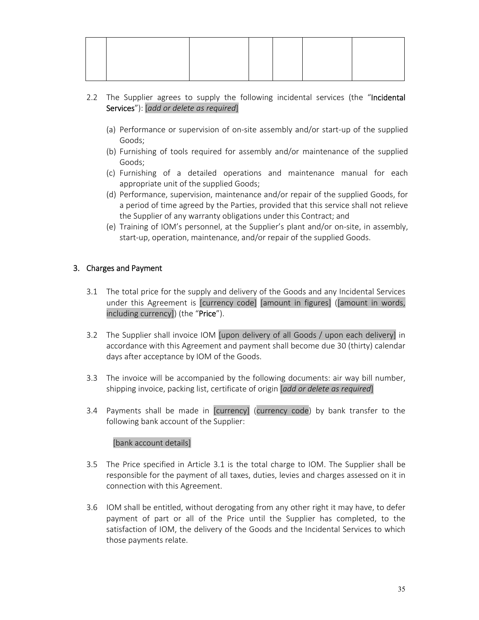- 2.2 The Supplier agrees to supply the following incidental services (the "Incidental Services"): [*add or delete as required*]
	- (a) Performance or supervision of on‐site assembly and/or start‐up of the supplied Goods;
	- (b) Furnishing of tools required for assembly and/or maintenance of the supplied Goods;
	- (c) Furnishing of a detailed operations and maintenance manual for each appropriate unit of the supplied Goods;
	- (d) Performance, supervision, maintenance and/or repair of the supplied Goods, for a period of time agreed by the Parties, provided that this service shall not relieve the Supplier of any warranty obligations under this Contract; and
	- (e) Training of IOM's personnel, at the Supplier's plant and/or on‐site, in assembly, start-up, operation, maintenance, and/or repair of the supplied Goods.

# 3. Charges and Payment

- 3.1 The total price for the supply and delivery of the Goods and any Incidental Services under this Agreement is [currency code] [amount in figures] ([amount in words, including currency]) (the "Price").
- 3.2 The Supplier shall invoice IOM [upon delivery of all Goods / upon each delivery] in accordance with this Agreement and payment shall become due 30 (thirty) calendar days after acceptance by IOM of the Goods.
- 3.3 The invoice will be accompanied by the following documents: air way bill number, shipping invoice, packing list, certificate of origin [*add or delete as required*]
- 3.4 Payments shall be made in [currency] (currency code) by bank transfer to the following bank account of the Supplier:

### [bank account details]

- 3.5 The Price specified in Article 3.1 is the total charge to IOM. The Supplier shall be responsible for the payment of all taxes, duties, levies and charges assessed on it in connection with this Agreement.
- 3.6 IOM shall be entitled, without derogating from any other right it may have, to defer payment of part or all of the Price until the Supplier has completed, to the satisfaction of IOM, the delivery of the Goods and the Incidental Services to which those payments relate.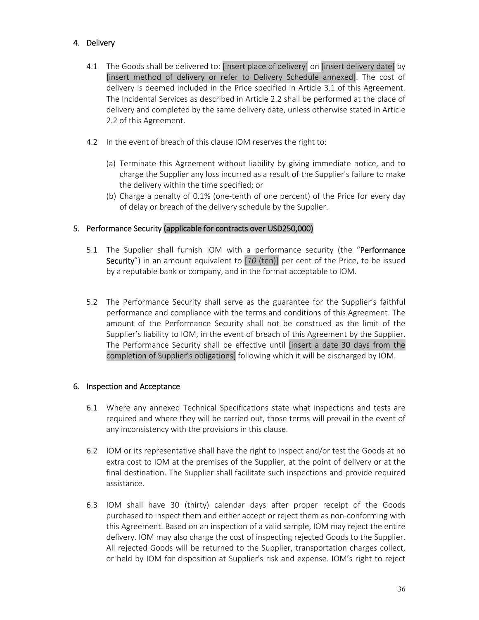# 4. Delivery

- 4.1 The Goods shall be delivered to: [insert place of delivery] on [insert delivery date] by [insert method of delivery or refer to Delivery Schedule annexed]. The cost of delivery is deemed included in the Price specified in Article 3.1 of this Agreement. The Incidental Services as described in Article 2.2 shall be performed at the place of delivery and completed by the same delivery date, unless otherwise stated in Article 2.2 of this Agreement.
- 4.2 In the event of breach of this clause IOM reserves the right to:
	- (a) Terminate this Agreement without liability by giving immediate notice, and to charge the Supplier any loss incurred as a result of the Supplier's failure to make the delivery within the time specified; or
	- (b) Charge a penalty of 0.1% (one‐tenth of one percent) of the Price for every day of delay or breach of the delivery schedule by the Supplier.

# 5. Performance Security (applicable for contracts over USD250,000)

- 5.1 The Supplier shall furnish IOM with a performance security (the "Performance Security") in an amount equivalent to [*10* (ten)] per cent of the Price, to be issued by a reputable bank or company, and in the format acceptable to IOM.
- 5.2 The Performance Security shall serve as the guarantee for the Supplier's faithful performance and compliance with the terms and conditions of this Agreement. The amount of the Performance Security shall not be construed as the limit of the Supplier's liability to IOM, in the event of breach of this Agreement by the Supplier. The Performance Security shall be effective until [insert a date 30 days from the completion of Supplier's obligations] following which it will be discharged by IOM.

### 6. Inspection and Acceptance

- 6.1 Where any annexed Technical Specifications state what inspections and tests are required and where they will be carried out, those terms will prevail in the event of any inconsistency with the provisions in this clause.
- 6.2 IOM or its representative shall have the right to inspect and/or test the Goods at no extra cost to IOM at the premises of the Supplier, at the point of delivery or at the final destination. The Supplier shall facilitate such inspections and provide required assistance.
- 6.3 IOM shall have 30 (thirty) calendar days after proper receipt of the Goods purchased to inspect them and either accept or reject them as non‐conforming with this Agreement. Based on an inspection of a valid sample, IOM may reject the entire delivery. IOM may also charge the cost of inspecting rejected Goods to the Supplier. All rejected Goods will be returned to the Supplier, transportation charges collect, or held by IOM for disposition at Supplier's risk and expense. IOM's right to reject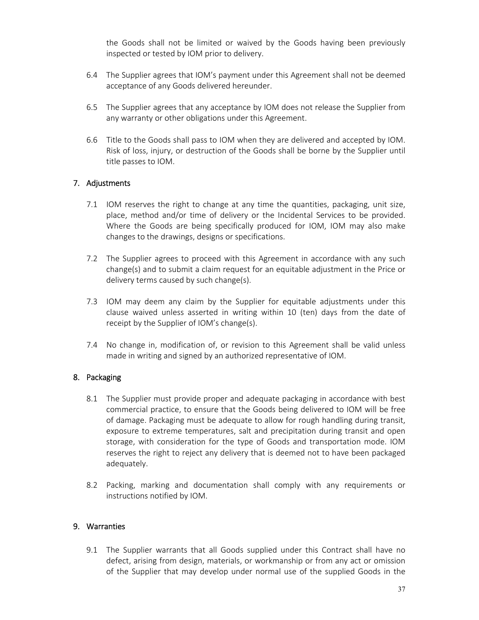the Goods shall not be limited or waived by the Goods having been previously inspected or tested by IOM prior to delivery.

- 6.4 The Supplier agrees that IOM's payment under this Agreement shall not be deemed acceptance of any Goods delivered hereunder.
- 6.5 The Supplier agrees that any acceptance by IOM does not release the Supplier from any warranty or other obligations under this Agreement.
- 6.6 Title to the Goods shall pass to IOM when they are delivered and accepted by IOM. Risk of loss, injury, or destruction of the Goods shall be borne by the Supplier until title passes to IOM.

### 7. Adjustments

- 7.1 IOM reserves the right to change at any time the quantities, packaging, unit size, place, method and/or time of delivery or the Incidental Services to be provided. Where the Goods are being specifically produced for IOM, IOM may also make changes to the drawings, designs or specifications.
- 7.2 The Supplier agrees to proceed with this Agreement in accordance with any such change(s) and to submit a claim request for an equitable adjustment in the Price or delivery terms caused by such change(s).
- 7.3 IOM may deem any claim by the Supplier for equitable adjustments under this clause waived unless asserted in writing within 10 (ten) days from the date of receipt by the Supplier of IOM's change(s).
- 7.4 No change in, modification of, or revision to this Agreement shall be valid unless made in writing and signed by an authorized representative of IOM.

### 8. Packaging

- 8.1 The Supplier must provide proper and adequate packaging in accordance with best commercial practice, to ensure that the Goods being delivered to IOM will be free of damage. Packaging must be adequate to allow for rough handling during transit, exposure to extreme temperatures, salt and precipitation during transit and open storage, with consideration for the type of Goods and transportation mode. IOM reserves the right to reject any delivery that is deemed not to have been packaged adequately.
- 8.2 Packing, marking and documentation shall comply with any requirements or instructions notified by IOM.

#### 9. Warranties

9.1 The Supplier warrants that all Goods supplied under this Contract shall have no defect, arising from design, materials, or workmanship or from any act or omission of the Supplier that may develop under normal use of the supplied Goods in the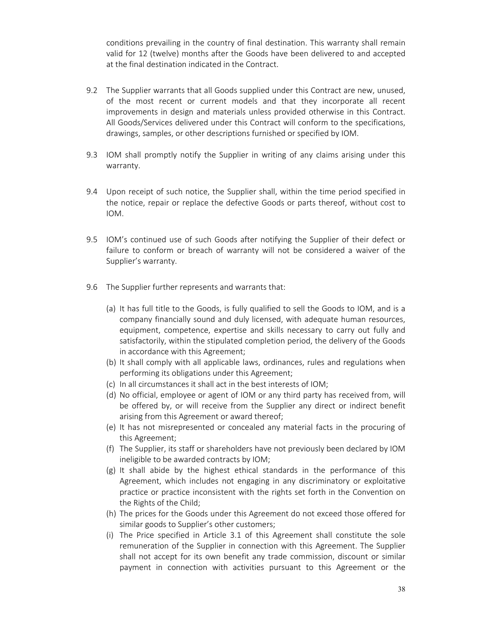conditions prevailing in the country of final destination. This warranty shall remain valid for 12 (twelve) months after the Goods have been delivered to and accepted at the final destination indicated in the Contract.

- 9.2 The Supplier warrants that all Goods supplied under this Contract are new, unused, of the most recent or current models and that they incorporate all recent improvements in design and materials unless provided otherwise in this Contract. All Goods/Services delivered under this Contract will conform to the specifications, drawings, samples, or other descriptions furnished or specified by IOM.
- 9.3 IOM shall promptly notify the Supplier in writing of any claims arising under this warranty.
- 9.4 Upon receipt of such notice, the Supplier shall, within the time period specified in the notice, repair or replace the defective Goods or parts thereof, without cost to IOM.
- 9.5 IOM's continued use of such Goods after notifying the Supplier of their defect or failure to conform or breach of warranty will not be considered a waiver of the Supplier's warranty.
- 9.6 The Supplier further represents and warrants that:
	- (a) It has full title to the Goods, is fully qualified to sell the Goods to IOM, and is a company financially sound and duly licensed, with adequate human resources, equipment, competence, expertise and skills necessary to carry out fully and satisfactorily, within the stipulated completion period, the delivery of the Goods in accordance with this Agreement;
	- (b) It shall comply with all applicable laws, ordinances, rules and regulations when performing its obligations under this Agreement;
	- (c) In all circumstances it shall act in the best interests of IOM;
	- (d) No official, employee or agent of IOM or any third party has received from, will be offered by, or will receive from the Supplier any direct or indirect benefit arising from this Agreement or award thereof;
	- (e) It has not misrepresented or concealed any material facts in the procuring of this Agreement;
	- (f) The Supplier, its staff or shareholders have not previously been declared by IOM ineligible to be awarded contracts by IOM;
	- $(g)$  It shall abide by the highest ethical standards in the performance of this Agreement, which includes not engaging in any discriminatory or exploitative practice or practice inconsistent with the rights set forth in the Convention on the Rights of the Child;
	- (h) The prices for the Goods under this Agreement do not exceed those offered for similar goods to Supplier's other customers;
	- (i) The Price specified in Article 3.1 of this Agreement shall constitute the sole remuneration of the Supplier in connection with this Agreement. The Supplier shall not accept for its own benefit any trade commission, discount or similar payment in connection with activities pursuant to this Agreement or the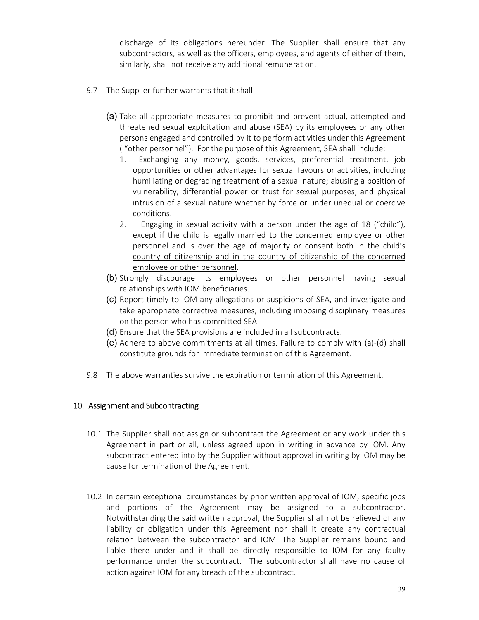discharge of its obligations hereunder. The Supplier shall ensure that any subcontractors, as well as the officers, employees, and agents of either of them, similarly, shall not receive any additional remuneration.

- 9.7 The Supplier further warrants that it shall:
	- (a) Take all appropriate measures to prohibit and prevent actual, attempted and threatened sexual exploitation and abuse (SEA) by its employees or any other persons engaged and controlled by it to perform activities under this Agreement ( "other personnel"). For the purpose of this Agreement, SEA shall include:
		- 1. Exchanging any money, goods, services, preferential treatment, job opportunities or other advantages for sexual favours or activities, including humiliating or degrading treatment of a sexual nature; abusing a position of vulnerability, differential power or trust for sexual purposes, and physical intrusion of a sexual nature whether by force or under unequal or coercive conditions.
		- 2. Engaging in sexual activity with a person under the age of 18 ("child"), except if the child is legally married to the concerned employee or other personnel and is over the age of majority or consent both in the child's country of citizenship and in the country of citizenship of the concerned employee or other personnel.
	- (b) Strongly discourage its employees or other personnel having sexual relationships with IOM beneficiaries.
	- (c) Report timely to IOM any allegations or suspicions of SEA, and investigate and take appropriate corrective measures, including imposing disciplinary measures on the person who has committed SEA.
	- (d) Ensure that the SEA provisions are included in all subcontracts.
	- (e) Adhere to above commitments at all times. Failure to comply with (a)‐(d) shall constitute grounds for immediate termination of this Agreement.
- 9.8 The above warranties survive the expiration or termination of this Agreement.

#### 10. Assignment and Subcontracting

- 10.1 The Supplier shall not assign or subcontract the Agreement or any work under this Agreement in part or all, unless agreed upon in writing in advance by IOM. Any subcontract entered into by the Supplier without approval in writing by IOM may be cause for termination of the Agreement.
- 10.2 In certain exceptional circumstances by prior written approval of IOM, specific jobs and portions of the Agreement may be assigned to a subcontractor. Notwithstanding the said written approval, the Supplier shall not be relieved of any liability or obligation under this Agreement nor shall it create any contractual relation between the subcontractor and IOM. The Supplier remains bound and liable there under and it shall be directly responsible to IOM for any faulty performance under the subcontract. The subcontractor shall have no cause of action against IOM for any breach of the subcontract.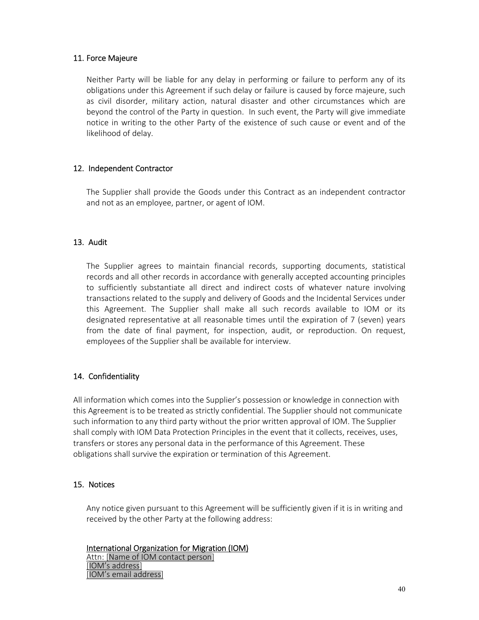### 11. Force Majeure

Neither Party will be liable for any delay in performing or failure to perform any of its obligations under this Agreement if such delay or failure is caused by force majeure, such as civil disorder, military action, natural disaster and other circumstances which are beyond the control of the Party in question. In such event, the Party will give immediate notice in writing to the other Party of the existence of such cause or event and of the likelihood of delay.

# 12. Independent Contractor

The Supplier shall provide the Goods under this Contract as an independent contractor and not as an employee, partner, or agent of IOM.

# 13. Audit

The Supplier agrees to maintain financial records, supporting documents, statistical records and all other records in accordance with generally accepted accounting principles to sufficiently substantiate all direct and indirect costs of whatever nature involving transactions related to the supply and delivery of Goods and the Incidental Services under this Agreement. The Supplier shall make all such records available to IOM or its designated representative at all reasonable times until the expiration of 7 (seven) years from the date of final payment, for inspection, audit, or reproduction. On request, employees of the Supplier shall be available for interview.

# 14. Confidentiality

All information which comes into the Supplier's possession or knowledge in connection with this Agreement is to be treated as strictly confidential. The Supplier should not communicate such information to any third party without the prior written approval of IOM. The Supplier shall comply with IOM Data Protection Principles in the event that it collects, receives, uses, transfers or stores any personal data in the performance of this Agreement. These obligations shall survive the expiration or termination of this Agreement.

### 15. Notices

Any notice given pursuant to this Agreement will be sufficiently given if it is in writing and received by the other Party at the following address:

International Organization for Migration (IOM) Attn: [Name of IOM contact person] [IOM's address] [IOM's email address]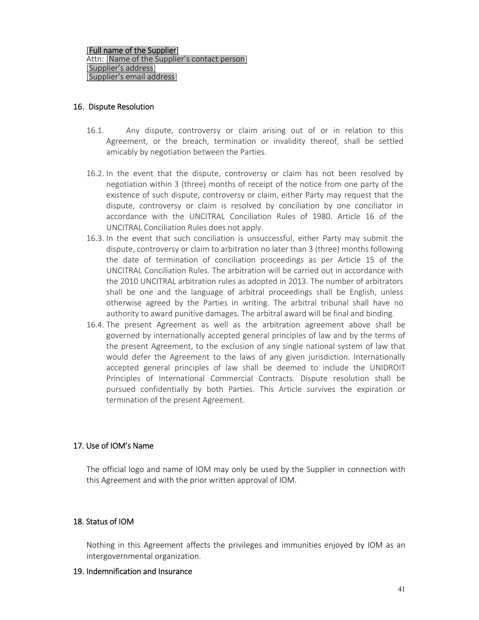### 16. Dispute Resolution

- 16.1. Any dispute, controversy or claim arising out of or in relation to this Agreement, or the breach, termination or invalidity thereof, shall be settled amicably by negotiation between the Parties.
- 16.2. In the event that the dispute, controversy or claim has not been resolved by negotiation within 3 (three) months of receipt of the notice from one party of the existence of such dispute, controversy or claim, either Party may request that the dispute, controversy or claim is resolved by conciliation by one conciliator in accordance with the UNCITRAL Conciliation Rules of 1980. Article 16 of the UNCITRAL Conciliation Rules does not apply.
- 16.3. In the event that such conciliation is unsuccessful, either Party may submit the dispute, controversy or claim to arbitration no later than 3 (three) months following the date of termination of conciliation proceedings as per Article 15 of the UNCITRAL Conciliation Rules. The arbitration will be carried out in accordance with the 2010 UNCITRAL arbitration rules as adopted in 2013. The number of arbitrators shall be one and the language of arbitral proceedings shall be English, unless otherwise agreed by the Parties in writing. The arbitral tribunal shall have no authority to award punitive damages. The arbitral award will be final and binding.
- 16.4. The present Agreement as well as the arbitration agreement above shall be governed by internationally accepted general principles of law and by the terms of the present Agreement, to the exclusion of any single national system of law that would defer the Agreement to the laws of any given jurisdiction. Internationally accepted general principles of law shall be deemed to include the UNIDROIT Principles of International Commercial Contracts. Dispute resolution shall be pursued confidentially by both Parties. This Article survives the expiration or termination of the present Agreement.

### 17. Use of IOM's Name

The official logo and name of IOM may only be used by the Supplier in connection with this Agreement and with the prior written approval of IOM.

### 18. Status of IOM

Nothing in this Agreement affects the privileges and immunities enjoyed by IOM as an intergovernmental organization.

#### 19. Indemnification and Insurance